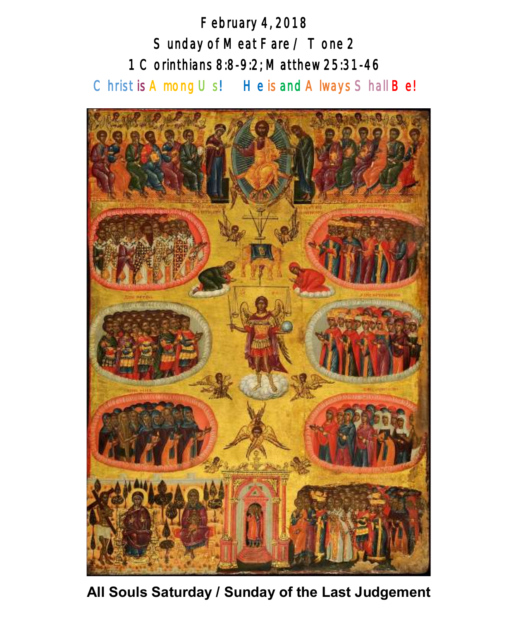February 4, 2018 Sunday of Meat Fare / Tone 2 1 Corinthians 8:8-9:2; Matthew 25:31-46 Christ is A mong Us! He is and A lways Shall Be!



**All Souls Saturday / Sunday of the Last Judgement**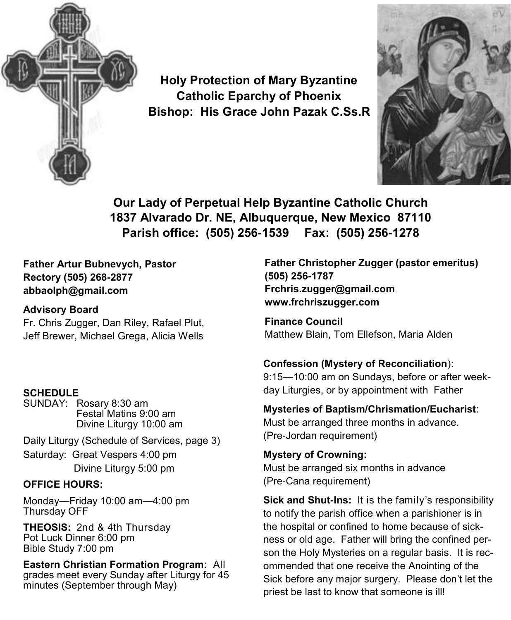

**Holy Protection of Mary Byzantine Catholic Eparchy of Phoenix Bishop: His Grace John Pazak C.Ss.R**



**Our Lady of Perpetual Help Byzantine Catholic Church 1837 Alvarado Dr. NE, Albuquerque, New Mexico 87110 Parish office: (505) 256-1539 Fax: (505) 256-1278**

**Father Artur Bubnevych, Pastor Rectory (505) 268-2877 abbaolph@gmail.com** 

#### **Advisory Board**

Fr. Chris Zugger, Dan Riley, Rafael Plut, Jeff Brewer, Michael Grega, Alicia Wells

#### **SCHEDULE**

SUNDAY: Rosary 8:30 am Festal Matins 9:00 am Divine Liturgy 10:00 am

Daily Liturgy (Schedule of Services, page 3) Saturday: Great Vespers 4:00 pm Divine Liturgy 5:00 pm

#### **OFFICE HOURS:**

Monday—Friday 10:00 am—4:00 pm Thursday OFF

**THEOSIS:** 2nd & 4th Thursday Pot Luck Dinner 6:00 pm Bible Study 7:00 pm

**Eastern Christian Formation Program**: All grades meet every Sunday after Liturgy for 45 minutes (September through May)

**Father Christopher Zugger (pastor emeritus) (505) 256-1787 Frchris.zugger@gmail.com www.frchriszugger.com** 

**Finance Council**  Matthew Blain, Tom Ellefson, Maria Alden

#### **Confession (Mystery of Reconciliation**):

9:15—10:00 am on Sundays, before or after weekday Liturgies, or by appointment with Father

#### **Mysteries of Baptism/Chrismation/Eucharist**:

Must be arranged three months in advance. (Pre-Jordan requirement)

**Mystery of Crowning:**  Must be arranged six months in advance (Pre-Cana requirement)

**Sick and Shut-Ins:** It is the family's responsibility to notify the parish office when a parishioner is in the hospital or confined to home because of sickness or old age. Father will bring the confined person the Holy Mysteries on a regular basis. It is recommended that one receive the Anointing of the Sick before any major surgery. Please don't let the priest be last to know that someone is ill!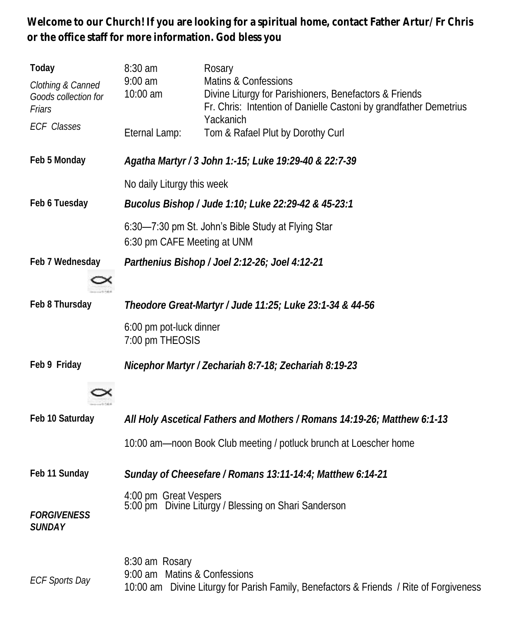**Welcome to our Church! If you are looking for a spiritual home, contact Father Artur/Fr Chris or the office staff for more information. God bless you**

| Today<br>Clothing & Canned<br>Goods collection for<br>Friars | 8:30 am<br>$9:00$ am<br>10:00 am                                                  | Rosary<br>Matins & Confessions<br>Divine Liturgy for Parishioners, Benefactors & Friends<br>Fr. Chris: Intention of Danielle Castoni by grandfather Demetrius |  |
|--------------------------------------------------------------|-----------------------------------------------------------------------------------|---------------------------------------------------------------------------------------------------------------------------------------------------------------|--|
| <b>ECF Classes</b>                                           | Eternal Lamp:                                                                     | Yackanich<br>Tom & Rafael Plut by Dorothy Curl                                                                                                                |  |
| Feb 5 Monday                                                 | Agatha Martyr / 3 John 1:-15; Luke 19:29-40 & 22:7-39                             |                                                                                                                                                               |  |
|                                                              | No daily Liturgy this week                                                        |                                                                                                                                                               |  |
| Feb 6 Tuesday                                                |                                                                                   | Bucolus Bishop / Jude 1:10; Luke 22:29-42 & 45-23:1                                                                                                           |  |
|                                                              | 6:30-7:30 pm St. John's Bible Study at Flying Star<br>6:30 pm CAFE Meeting at UNM |                                                                                                                                                               |  |
| Feb 7 Wednesday                                              |                                                                                   | Parthenius Bishop / Joel 2:12-26; Joel 4:12-21                                                                                                                |  |
| Feb 8 Thursday                                               | Theodore Great-Martyr / Jude 11:25; Luke 23:1-34 & 44-56                          |                                                                                                                                                               |  |
|                                                              | 6:00 pm pot-luck dinner<br>7:00 pm THEOSIS                                        |                                                                                                                                                               |  |
| Feb 9 Friday                                                 |                                                                                   | Nicephor Martyr / Zechariah 8:7-18; Zechariah 8:19-23                                                                                                         |  |
|                                                              |                                                                                   |                                                                                                                                                               |  |
| Feb 10 Saturday                                              |                                                                                   | All Holy Ascetical Fathers and Mothers / Romans 14:19-26; Matthew 6:1-13                                                                                      |  |
|                                                              |                                                                                   | 10:00 am-noon Book Club meeting / potluck brunch at Loescher home                                                                                             |  |
| Feb 11 Sunday                                                |                                                                                   | Sunday of Cheesefare / Romans 13:11-14:4; Matthew 6:14-21                                                                                                     |  |
| <b>FORGIVENESS</b><br>SUNDAY                                 | 4:00 pm Great Vespers<br>5:00 pm Divine Liturgy / Blessing on Shari Sanderson     |                                                                                                                                                               |  |
| <b>ECF Sports Day</b>                                        | 8:30 am Rosary<br>9:00 am Matins & Confessions                                    | 10:00 am Divine Liturgy for Parish Family, Benefactors & Friends / Rite of Forgiveness                                                                        |  |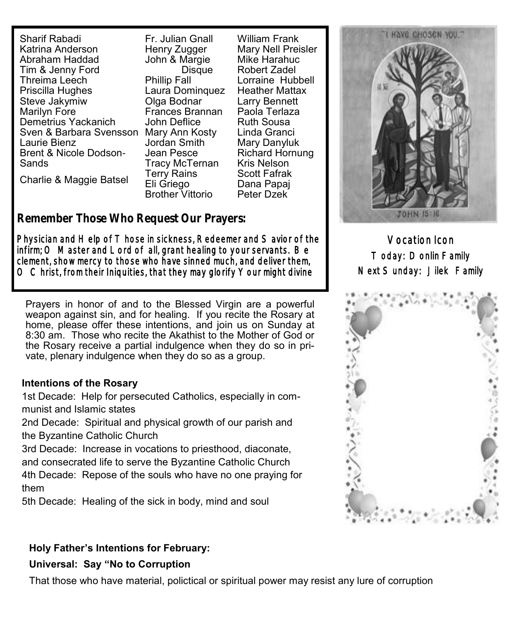Sharif Rabadi Katrina Anderson Abraham Haddad Tim & Jenny Ford Threima Leech Priscilla Hughes Steve Jakymiw Marilyn Fore Demetrius Yackanich Sven & Barbara Svensson Mary Ann Kosty Laurie Bienz Brent & Nicole Dodson-Sands Charlie & Maggie Batsel

Fr. Julian Gnall Henry Zugger John & Margie **Disque** Phillip Fall Laura Dominquez Olga Bodnar Frances Brannan John Deflice Jordan Smith Jean Pesce Tracy McTernan Terry Rains Eli Griego Brother Vittorio

William Frank Mary Nell Preisler Mike Harahuc Robert Zadel Lorraine Hubbell Heather Mattax Larry Bennett Paola Terlaza Ruth Sousa Linda Granci Mary Danyluk Richard Hornung Kris Nelson Scott Fafrak Dana Papaj Peter Dzek

# **Remember Those Who Request Our Prayers: Remember Those Who Request Our Prayers:**

Physician and Help of T hose in sickness, Redeemer and S avior of the the infirm; O Master and Lord of all, grant healing to your servants. infirm; O Master and Lord of all, grant healing to your servants. Be nninii, O iviaster and Lord or ail, grant healing to your servants. Be<br>clement, show mercy to those who have sinned much, and deliver them, THEFT CONTROLLER TO CHOSE WHO HAVE SITTLED HIGHT, AND GENVEL THEM, THAT IS CONTROLLER TO CHARGE.  $\circlearrowright$  Christ, from their Iniquities, that they may glorify  $\vee$  our might divine

Prayers in honor of and to the Blessed Virgin are a powerful weapon against sin, and for healing. If you recite the Rosary at home, please offer these intentions, and join us on Sunday at 8:30 am. Those who recite the Akathist to the Mother of God or the Rosary receive a partial indulgence when they do so in private, plenary indulgence when they do so as a group.

#### **Intentions of the Rosary**

1st Decade: Help for persecuted Catholics, especially in communist and Islamic states

2nd Decade: Spiritual and physical growth of our parish and the Byzantine Catholic Church

3rd Decade: Increase in vocations to priesthood, diaconate, and consecrated life to serve the Byzantine Catholic Church

4th Decade: Repose of the souls who have no one praying for them

5th Decade: Healing of the sick in body, mind and soul

# I HAVE CHOSEN YOU." TOHN 15:16

Vocation Icon Today: Donlin Family Next Sunday: Jilek Family



#### **Holy Father's Intentions for February:**

#### **Universal: Say "No to Corruption**

That those who have material, polictical or spiritual power may resist any lure of corruption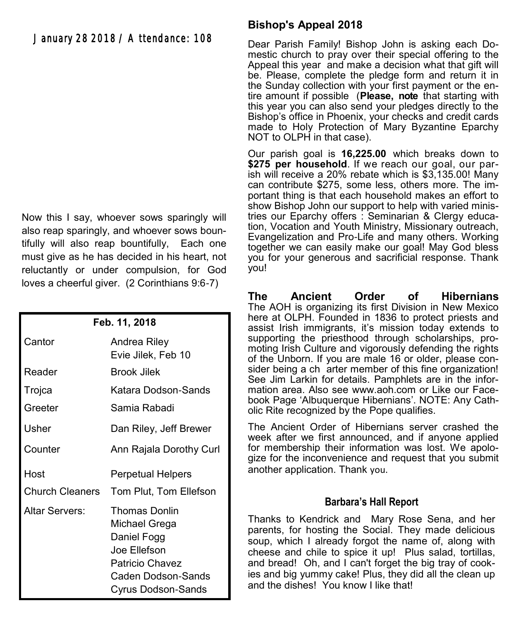#### January 28 2018 / Attendance: 108

Now this I say, whoever sows sparingly will also reap sparingly, and whoever sows bountifully will also reap bountifully, Each one must give as he has decided in his heart, not reluctantly or under compulsion, for God loves a cheerful giver. (2 Corinthians 9:6-7)

| Feb. 11, 2018          |                                                                                                                              |  |
|------------------------|------------------------------------------------------------------------------------------------------------------------------|--|
| Cantor                 | Andrea Riley<br>Evie Jilek, Feb 10                                                                                           |  |
| Reader                 | Brook Jilek                                                                                                                  |  |
| Trojca                 | Katara Dodson-Sands                                                                                                          |  |
| Greeter                | Samia Rabadi                                                                                                                 |  |
| Usher                  | Dan Riley, Jeff Brewer                                                                                                       |  |
| Counter                | Ann Rajala Dorothy Curl                                                                                                      |  |
| Host                   | Perpetual Helpers                                                                                                            |  |
| <b>Church Cleaners</b> | Tom Plut, Tom Ellefson                                                                                                       |  |
| Altar Servers:         | Thomas Donlin<br>Michael Grega<br>Daniel Fogg<br>Joe Ellefson<br>Patricio Chavez<br>Caden Dodson-Sands<br>Cyrus Dodson-Sands |  |

#### **Bishop's Appeal 2018**

Dear Parish Family! Bishop John is asking each Domestic church to pray over their special offering to the Appeal this year and make a decision what that gift will be. Please, complete the pledge form and return it in the Sunday collection with your first payment or the entire amount if possible (**Please, note** that starting with this year you can also send your pledges directly to the Bishop's office in Phoenix, your checks and credit cards made to Holy Protection of Mary Byzantine Eparchy NOT to OLPH in that case).

Our parish goal is **16,225.00** which breaks down to \$275 per household. If we reach our goal, our parish will receive a 20% rebate which is \$3,135.00! Many can contribute \$275, some less, others more. The important thing is that each household makes an effort to show Bishop John our support to help with varied ministries our Eparchy offers : Seminarian & Clergy education, Vocation and Youth Ministry, Missionary outreach, Evangelization and Pro-Life and many others. Working together we can easily make our goal! May God bless you for your generous and sacrificial response. Thank you!

**The Ancient Order of Hibernians**  The AOH is organizing its first Division in New Mexico here at OLPH. Founded in 1836 to protect priests and assist Irish immigrants, it's mission today extends to supporting the priesthood through scholarships, promoting Irish Culture and vigorously defending the rights of the Unborn. If you are male 16 or older, please consider being a ch arter member of this fine organization! See Jim Larkin for details. Pamphlets are in the information area. Also see [www.aoh.com o](http://www.aoh.com)r Like our Facebook Page 'Albuquerque Hibernians'. NOTE: Any Catholic Rite recognized by the Pope qualifies.

The Ancient Order of Hibernians server crashed the week after we first announced, and if anyone applied for membership their information was lost. We apologize for the inconvenience and request that you submit another application. Thank you.

#### **Barbara's Hall Report**

Thanks to Kendrick and Mary Rose Sena, and her parents, for hosting the Social. They made delicious soup, which I already forgot the name of, along with cheese and chile to spice it up! Plus salad, tortillas, and bread! Oh, and I can't forget the big tray of cookies and big yummy cake! Plus, they did all the clean up and the dishes! You know I like that!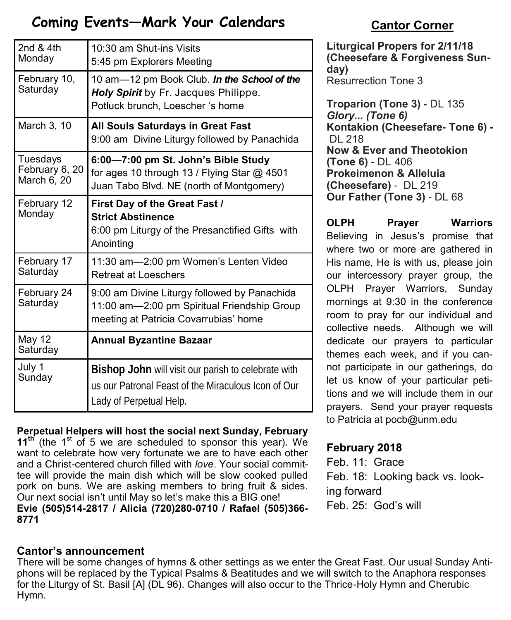# **Coming Events—Mark Your Calendars <b>Cantor Corner**

| 2nd & 4th<br>Monday                       | 10:30 am Shut-ins Visits<br>5:45 pm Explorers Meeting                                                                                 |
|-------------------------------------------|---------------------------------------------------------------------------------------------------------------------------------------|
| February 10,<br>Saturday                  | 10 am-12 pm Book Club. In the School of the<br>Holy Spirit by Fr. Jacques Philippe.<br>Potluck brunch, Loescher 's home               |
| March 3, 10                               | All Souls Saturdays in Great Fast<br>9:00 am Divine Liturgy followed by Panachida                                                     |
| Tuesdays<br>February 6, 20<br>March 6, 20 | 6:00-7:00 pm St. John's Bible Study<br>for ages 10 through 13 / Flying Star @ 4501<br>Juan Tabo Blvd. NE (north of Montgomery)        |
| February 12<br>Monday                     | First Day of the Great Fast /<br><b>Strict Abstinence</b><br>6:00 pm Liturgy of the Presanctified Gifts with<br>Anointing             |
| February 17<br>Saturday                   | 11:30 am-2:00 pm Women's Lenten Video<br><b>Retreat at Loeschers</b>                                                                  |
| February 24<br>Saturday                   | 9:00 am Divine Liturgy followed by Panachida<br>11:00 am-2:00 pm Spiritual Friendship Group<br>meeting at Patricia Covarrubias' home  |
| <b>May 12</b><br>Saturday                 | <b>Annual Byzantine Bazaar</b>                                                                                                        |
| July 1<br>Sunday                          | Bishop John will visit our parish to celebrate with<br>us our Patronal Feast of the Miraculous Icon of Our<br>Lady of Perpetual Help. |

#### **Perpetual Helpers will host the social next Sunday, February**

**11<sup>th</sup>** (the 1<sup>st</sup> of 5 we are scheduled to sponsor this year). We want to celebrate how very fortunate we are to have each other and a Christ-centered church filled with *love*. Your social committee will provide the main dish which will be slow cooked pulled pork on buns. We are asking members to bring fruit & sides. Our next social isn't until May so let's make this a BIG one!

**Evie (505)514-2817 / Alicia (720)280-0710 / Rafael (505)366- 8771**

#### **Cantor's announcement**

There will be some changes of hymns & other settings as we enter the Great Fast. Our usual Sunday Antiphons will be replaced by the Typical Psalms & Beatitudes and we will switch to the Anaphora responses for the Liturgy of St. Basil [A] (DL 96). Changes will also occur to the Thrice-Holy Hymn and Cherubic Hymn.

**Liturgical Propers for 2/11/18 (Cheesefare & Forgiveness Sunday)** Resurrection Tone 3

**Troparion (Tone 3) -** DL 135 *Glory... (Tone 6)* **Kontakion (Cheesefare- Tone 6) -** DL 218 **Now & Ever and Theotokion (Tone 6) -** DL 406 **Prokeimenon & Alleluia (Cheesefare)** - DL 219 **Our Father (Tone 3)** - DL 68

**OLPH Prayer Warriors**  Believing in Jesus's promise that where two or more are gathered in His name, He is with us, please join our intercessory prayer group, the OLPH Prayer Warriors, Sunday mornings at 9:30 in the conference room to pray for our individual and collective needs. Although we will dedicate our prayers to particular themes each week, and if you cannot participate in our gatherings, do let us know of your particular petitions and we will include them in our prayers. Send your prayer requests to Patricia at pocb@unm.edu

### **February 2018**

Feb. 11: Grace Feb. 18: Looking back vs. looking forward Feb. 25: God's will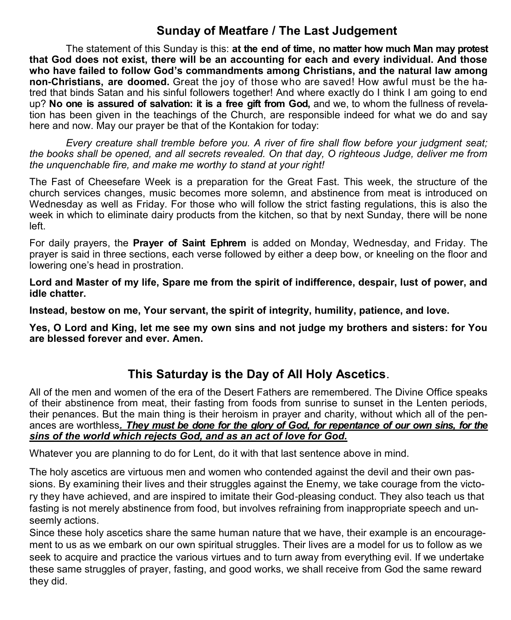#### **Sunday of Meatfare / The Last Judgement**

The statement of this Sunday is this: **at the end of time, no matter how much Man may protest that God does not exist, there will be an accounting for each and every individual. And those who have failed to follow God's commandments among Christians, and the natural law among non-Christians, are doomed.** Great the joy of those who are saved! How awful must be the hatred that binds Satan and his sinful followers together! And where exactly do I think I am going to end up? **No one is assured of salvation: it is a free gift from God,** and we, to whom the fullness of revelation has been given in the teachings of the Church, are responsible indeed for what we do and say here and now. May our prayer be that of the Kontakion for today:

*Every creature shall tremble before you. A river of fire shall flow before your judgment seat; the books shall be opened, and all secrets revealed. On that day, O righteous Judge, deliver me from the unquenchable fire, and make me worthy to stand at your right!*

The Fast of Cheesefare Week is a preparation for the Great Fast. This week, the structure of the church services changes, music becomes more solemn, and abstinence from meat is introduced on Wednesday as well as Friday. For those who will follow the strict fasting regulations, this is also the week in which to eliminate dairy products from the kitchen, so that by next Sunday, there will be none left.

For daily prayers, the **Prayer of Saint Ephrem** is added on Monday, Wednesday, and Friday. The prayer is said in three sections, each verse followed by either a deep bow, or kneeling on the floor and lowering one's head in prostration.

**Lord and Master of my life, Spare me from the spirit of indifference, despair, lust of power, and idle chatter.** 

**Instead, bestow on me, Your servant, the spirit of integrity, humility, patience, and love.** 

**Yes, O Lord and King, let me see my own sins and not judge my brothers and sisters: for You are blessed forever and ever. Amen.** 

#### **This Saturday is the Day of All Holy Ascetics**.

All of the men and women of the era of the Desert Fathers are remembered. The Divine Office speaks of their abstinence from meat, their fasting from foods from sunrise to sunset in the Lenten periods, their penances. But the main thing is their heroism in prayer and charity, without which all of the penances are worthless*. They must be done for the glory of God, for repentance of our own sins, for the sins of the world which rejects God, and as an act of love for God.*

Whatever you are planning to do for Lent, do it with that last sentence above in mind.

The holy ascetics are virtuous men and women who contended against the devil and their own passions. By examining their lives and their struggles against the Enemy, we take courage from the victory they have achieved, and are inspired to imitate their God-pleasing conduct. They also teach us that fasting is not merely abstinence from food, but involves refraining from inappropriate speech and unseemly actions.

Since these holy ascetics share the same human nature that we have, their example is an encouragement to us as we embark on our own spiritual struggles. Their lives are a model for us to follow as we seek to acquire and practice the various virtues and to turn away from everything evil. If we undertake these same struggles of prayer, fasting, and good works, we shall receive from God the same reward they did.